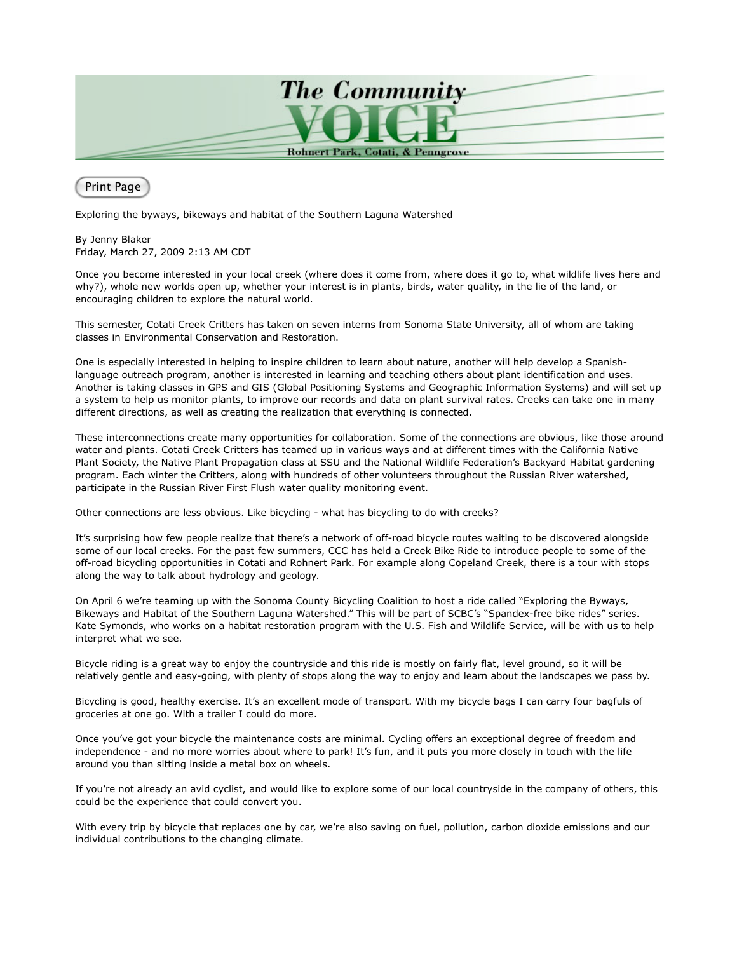

Print Page

Exploring the byways, bikeways and habitat of the Southern Laguna Watershed

By Jenny Blaker Friday, March 27, 2009 2:13 AM CDT

Once you become interested in your local creek (where does it come from, where does it go to, what wildlife lives here and why?), whole new worlds open up, whether your interest is in plants, birds, water quality, in the lie of the land, or encouraging children to explore the natural world.

This semester, Cotati Creek Critters has taken on seven interns from Sonoma State University, all of whom are taking classes in Environmental Conservation and Restoration.

One is especially interested in helping to inspire children to learn about nature, another will help develop a Spanishlanguage outreach program, another is interested in learning and teaching others about plant identification and uses. Another is taking classes in GPS and GIS (Global Positioning Systems and Geographic Information Systems) and will set up a system to help us monitor plants, to improve our records and data on plant survival rates. Creeks can take one in many different directions, as well as creating the realization that everything is connected.

These interconnections create many opportunities for collaboration. Some of the connections are obvious, like those around water and plants. Cotati Creek Critters has teamed up in various ways and at different times with the California Native Plant Society, the Native Plant Propagation class at SSU and the National Wildlife Federation's Backyard Habitat gardening program. Each winter the Critters, along with hundreds of other volunteers throughout the Russian River watershed, participate in the Russian River First Flush water quality monitoring event.

Other connections are less obvious. Like bicycling - what has bicycling to do with creeks?

It's surprising how few people realize that there's a network of off-road bicycle routes waiting to be discovered alongside some of our local creeks. For the past few summers, CCC has held a Creek Bike Ride to introduce people to some of the off-road bicycling opportunities in Cotati and Rohnert Park. For example along Copeland Creek, there is a tour with stops along the way to talk about hydrology and geology.

On April 6 we're teaming up with the Sonoma County Bicycling Coalition to host a ride called "Exploring the Byways, Bikeways and Habitat of the Southern Laguna Watershed." This will be part of SCBC's "Spandex-free bike rides" series. Kate Symonds, who works on a habitat restoration program with the U.S. Fish and Wildlife Service, will be with us to help interpret what we see.

Bicycle riding is a great way to enjoy the countryside and this ride is mostly on fairly flat, level ground, so it will be relatively gentle and easy-going, with plenty of stops along the way to enjoy and learn about the landscapes we pass by.

Bicycling is good, healthy exercise. It's an excellent mode of transport. With my bicycle bags I can carry four bagfuls of groceries at one go. With a trailer I could do more.

Once you've got your bicycle the maintenance costs are minimal. Cycling offers an exceptional degree of freedom and independence - and no more worries about where to park! It's fun, and it puts you more closely in touch with the life around you than sitting inside a metal box on wheels.

If you're not already an avid cyclist, and would like to explore some of our local countryside in the company of others, this could be the experience that could convert you.

With every trip by bicycle that replaces one by car, we're also saving on fuel, pollution, carbon dioxide emissions and our individual contributions to the changing climate.